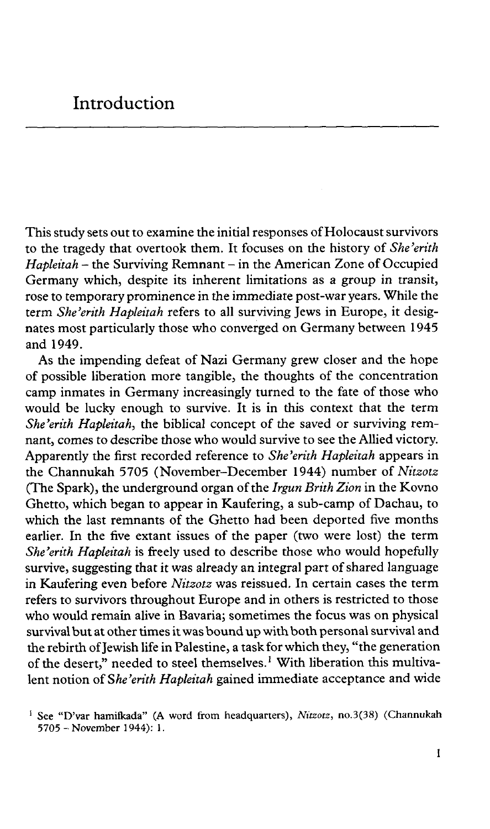**This study sets out to examine the initial responses of Holocaust survivors to the tragedy that overtook them. It focuses on the history of** *She'erith Hapleitah* **- the Surviving Remnant - in the American Zone of Occupied Germany which, despite its inherent limitations as a group in transit, rose to temporary prominence in the immediate post-war years. While the term** *She'erith Hapleitah* **refers to all surviving Jews in Europe, it designates most particularly those who converged on Germany between 1945 and 1949.**

**As the impending defeat of Nazi Germany grew closer and the hope of possible liberation more tangible, the thoughts of the concentration camp inmates in Germany increasingly turned to the fate of those who would be lucky enough to survive. It is in this context that the term** *She'erith Hapleitah,* **the biblical concept of the saved or surviving remnant, comes to describe those who would survive to see the Allied victory. Apparently the first recorded reference to** *She'erith Hapleitah* **appears in the Channukah 5705 (November-December 1944) number of** *Nitzotz* **(The Spark), the underground organ of the** *Irgun Brith Zion* **in the Kovno Ghetto, which began to appear in Kaufering, a sub-camp of Dachau, to which the last remnants of the Ghetto had been deported five months earlier. In the five extant issues of the paper (two were lost) the term** *She'erith Hapleitah* **is freely used to describe those who would hopefully survive, suggesting that it was already an integral part of shared language in Kaufering even before** *Nitzotz* **was reissued. In certain cases the term refers to survivors throughout Europe and in others is restricted to those who would remain alive in Bavaria; sometimes the focus was on physical survival but at other times it was bound up with both personal survival and the rebirth of Jewish life in Palestine, a task for which they, "the generation of the desert," needed to steel themselves.1 With liberation this multiva**lent notion of *She'erith Hapleitah* gained immediate acceptance and wide

<sup>&</sup>lt;sup>1</sup> See "D'var hamifkada" (A word from headquarters), *Nitzotz*, no.3(38) (Channukah 5705 - November 1944): 1.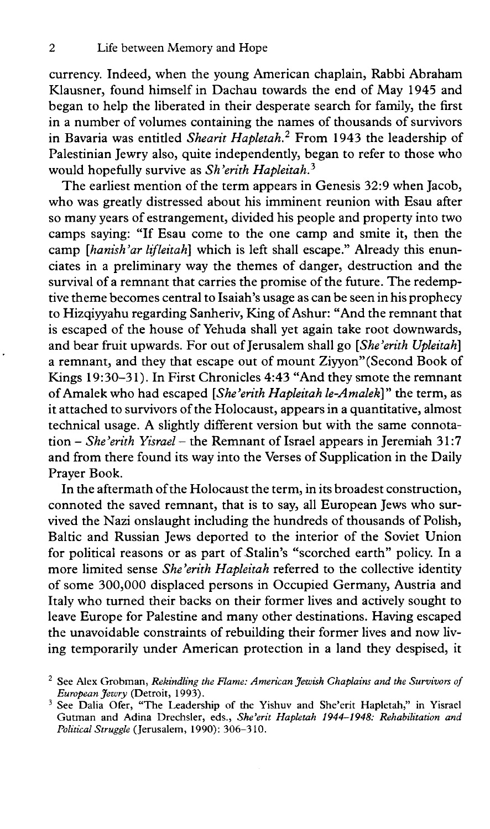**currency. Indeed, when the young American chaplain, Rabbi Abraham Klausner, found himself in Dachau towards the end of May 1945 and began to help the liberated in their desperate search for family, the first in a number of volumes containing the names of thousands of survivors in Bavaria was entitled** *Shearit Hapletah.2* **From 1943 the leadership of Palestinian Jewry also, quite independently, began to refer to those who** would hopefully survive as *Sh'erith Hapleitah*.<sup>3</sup>

**The earliest mention of the term appears in Genesis 32:9 when Jacob, who was greatly distressed about his imminent reunion with Esau after so many years of estrangement, divided his people and property into two camps saying: "If Esau come to the one camp and smite it, then the camp** *[hanish'ar lifleitah]* **which is left shall escape." Already this enunciates in a preliminary way the themes of danger, destruction and the survival of a remnant that carries the promise of the future. The redemptive theme becomes central to Isaiah's usage as can be seen in his prophecy to Hizqiyyahu regarding Sanheriv, King of Ashur: "And the remnant that is escaped of the house of Yehuda shall yet again take root downwards, and bear fruit upwards. For out of Jerusalem shall go** *[She'erith Upleitah]* **a remnant, and they that escape out of mount Ziyyon" (Second Book of Kings 19:30-31). In First Chronicles 4:43 "And they smote the remnant of Amalek who had escaped [***She'erith Hapleitah le-Amalek***]" the term, as it attached to survivors of the Holocaust, appears in a quantitative, almost technical usage. A slightly different version but with the same connotation -** *She'erith Yisrael -* **the Remnant of Israel appears in Jeremiah 31:7 and from there found its way into the Verses of Supplication in the Daily Prayer Book.**

**In the aftermath of the Holocaust the term, in its broadest construction, connoted the saved remnant, that is to say, all European Jews who survived the Nazi onslaught including the hundreds of thousands of Polish, Baltic and Russian Jews deported to the interior of the Soviet Union for political reasons or as part of Stalin's "scorched earth" policy. In a more limited sense** *She'erith Hapleitah* **referred to the collective identity of some 300,000 displaced persons in Occupied Germany, Austria and Italy who turned their backs on their former lives and actively sought to leave Europe for Palestine and many other destinations. Having escaped the unavoidable constraints of rebuilding their former lives and now living temporarily under American protection in a land they despised, it**

<sup>&</sup>lt;sup>2</sup> See Alex Grobman, *Rekindling the Flame: American Jewish Chaplains and the Survivors of European Jewry* (Detroit, 1993).

<sup>&</sup>lt;sup>3</sup> See Dalia Ofer, "The Leadership of the Yishuv and She'erit Hapletah," in Yisrael Gutman and Adina Drechsler, eds., She'erit Hapletah 1944-1948: Rehabilitation and *Political Struggle* (Jerusalem, 1990): 306-310.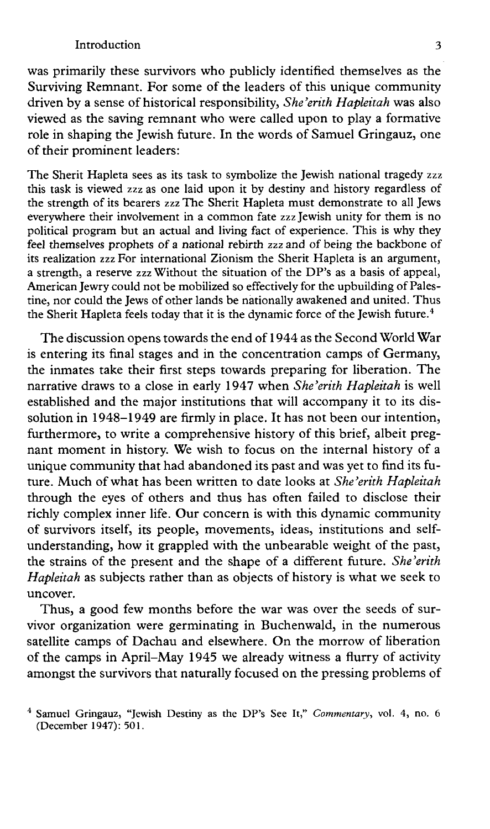**was primarily these survivors who publicly identified themselves as the Surviving Remnant. For some of the leaders of this unique community driven by a sense of historical responsibility,** *She'erith Hapleitah* **was also viewed as the saving remnant who were called upon to play a formative role in shaping the Jewish future. In the words of Samuel Gringauz, one of their prominent leaders:**

The Sherit Hapleta sees as its task to symbolize the Jewish national tragedy zzz this task is viewed zzz as one laid upon it by destiny and history regardless of the strength of its bearers zzz The Sherit Hapleta must demonstrate to all Jews everywhere their involvement in a common fate zzz Jewish unity for them is no political program but an actual and living fact of experience. This is why they feel themselves prophets of a national rebirth zzz and of being the backbone of its realization zzz For international Zionism the Sherit Hapleta is an argument, a strength, a reserve zzz Without the situation of the DP's as a basis of appeal, American Jewry could not be mobilized so effectively for the upbuilding of Palestine, nor could the Jews of other lands be nationally awakened and united. Thus the Sherit Hapleta feels today that it is the dynamic force of the Jewish future.<sup>4</sup>

**The discussion opens towards the end of 1944 as the Second World War is entering its final stages and in the concentration camps of Germany, the inmates take their first steps towards preparing for liberation. The narrative draws to a close in early 1947 when** *She'erith Hapleitah* **is well established and the major institutions that will accompany it to its dissolution in 1948-1949 are firmly in place. It has not been our intention, furthermore, to write a comprehensive history of this brief, albeit pregnant moment in history. We wish to focus on the internal history of a unique community that had abandoned its past and was yet to find its future. Much of what has been written to date looks at** *She'erith Hapleitah* **through the eyes of others and thus has often failed to disclose their richly complex inner life. Our concern is with this dynamic community of survivors itself, its people, movements, ideas, institutions and selfunderstanding, how it grappled with the unbearable weight of the past, the strains of the present and the shape of a different future.** *She'erith Hapleitah* **as subjects rather than as objects of history is what we seek to uncover.**

**Thus, a good few months before the war was over the seeds of survivor organization were germinating in Buchenwald, in the numerous satellite camps of Dachau and elsewhere. On the morrow of liberation of the camps in April-May 1945 we already witness a flurry of activity amongst the survivors that naturally focused on the pressing problems of**

<sup>&</sup>lt;sup>4</sup> Samuel Gringauz, "Jewish Destiny as the DP's See It," *Commentary*, vol. 4, no. 6 (December 1947): 501.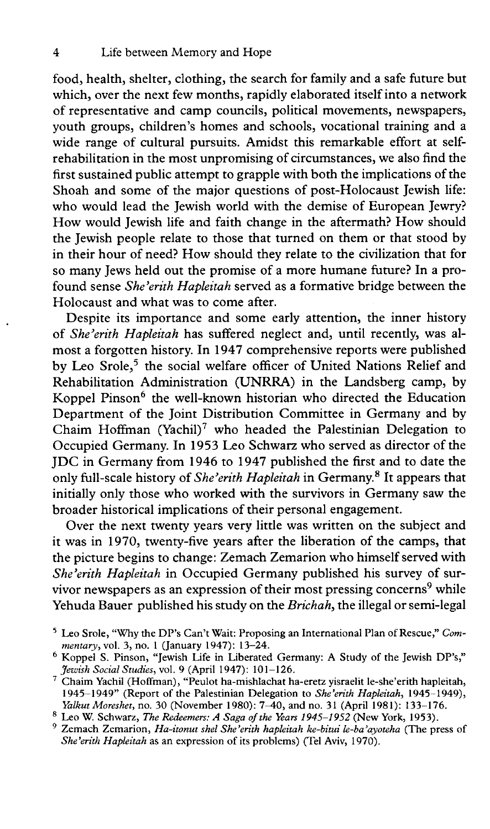**food, health, shelter, clothing, the search for family and a safe future but which, over the next few months, rapidly elaborated itself into a network of representative and camp councils, political movements, newspapers, youth groups, children's homes and schools, vocational training and a wide range of cultural pursuits. Amidst this remarkable effort at selfrehabilitation in the most unpromising of circumstances, we also find the first sustained public attempt to grapple with both the implications of the Shoah and some of the major questions of post-Holocaust Jewish life: who would lead the Jewish world with the demise of European Jewry? How would Jewish life and faith change in the aftermath? How should the Jewish people relate to those that turned on them or that stood by in their hour of need? How should they relate to the civilization that for so many Jews held out the promise of a more humane future? In a profound sense** *She'erith Hapleitah* **served as a formative bridge between the Holocaust and what was to come after.**

**Despite its importance and some early attention, the inner history of** *She'erith Hapleitah* **has suffered neglect and, until recendy, was almost a forgotten history. In 1947 comprehensive reports were published by Leo Srole,5 the social welfare officer of United Nations Relief and Rehabilitation Administration (UNRRA) in the Landsberg camp, by** Koppel Pinson<sup>6</sup> the well-known historian who directed the Education **Department of the Joint Distribution Committee in Germany and by Chaim Hoffman (Yachil)7 who headed the Palestinian Delegation to Occupied Germany. In 1953 Leo Schwarz who served as director of the JDC in Germany from 1946 to 1947 published the first and to date the only full-scale history of** *She'erith Hapleitah* **in Germany.8 It appears that initially only those who worked with the survivors in Germany saw the broader historical implications of their personal engagement.**

**Over the next twenty years very little was written on the subject and it was in 1970, twenty-five years after the liberation of the camps, that the picture begins to change: Zemach Zemarion who himself served with** *She'erith Hapleitah* **in Occupied Germany published his survey of sur**vivor newspapers as an expression of their most pressing concerns<sup>9</sup> while **Yehuda Bauer published his study on the** *Brichah,* **the illegal or semi-legal**

<sup>&</sup>lt;sup>5</sup> Leo Srole, "Why the DP's Can't Wait: Proposing an International Plan of Rescue," *Commentary,* vol. 3, no. 1 (January 1947): 13-24.

<sup>&</sup>lt;sup>6</sup> Koppel S. Pinson, "Jewish Life in Liberated Germany: A Study of the Jewish DP's," *Jewish Social Studies,* vol. 9 (April 1947): 101-126.

<sup>&</sup>lt;sup>7</sup> Chaim Yachil (Hoffman), "Peulot ha-mishlachat ha-eretz yisraelit le-she'erith hapleitah, 1945-1949" (Report of the Palestinian Delegation to *She'erith Hapleitah,* 1945-1949), *Yalkut Moreshet,* no. 30 (November 1980): 7-40, and no. 31 (April 1981): 133-176.

<sup>8</sup> Leo W. Schwarz, *The Redeemers: A Saga of the Years 1945-1952* (New York, 1953).

<sup>9</sup> Zemach Zemarion, *Ha-itonut shel She'erith hapleitah ke-bitui le-ba'ayoteha* (The press of *She'erith Hapleitah* as an expression of its problems) (Tel Aviv, 1970).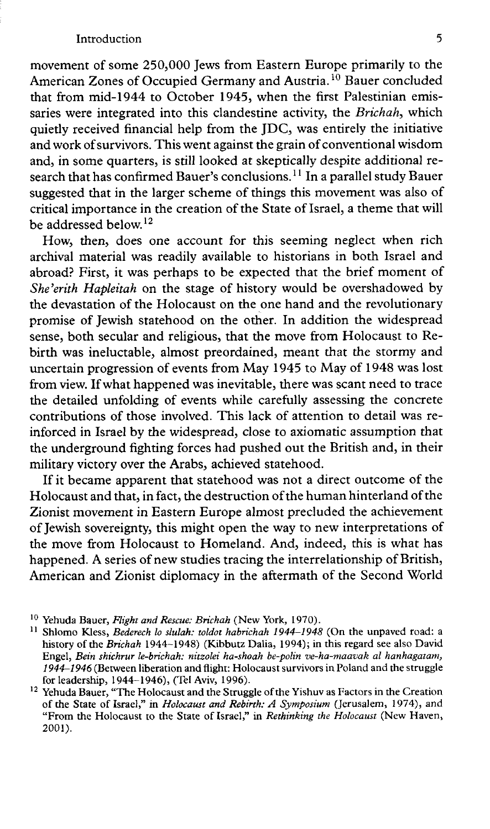## Introduction 5

**movement of some 250,000 Jews from Eastern Europe primarily to the American Zones of Occupied Germany and Austria.10 Bauer concluded that from mid-1944 to October 1945, when the first Palestinian emissaries were integrated into this clandestine activity, the** *Brichah,* **which quietly received financial help from the JDC, was entirely the initiative and work of survivors. This went against the grain of conventional wisdom and, in some quarters, is still looked at skeptically despite additional research that has confirmed Bauer's conclusions.11 In a parallel study Bauer suggested that in the larger scheme of things this movement was also of critical importance in the creation of the State of Israel, a theme that will be addressed below.12**

**How, then, does one account for this seeming neglect when rich archival material was readily available to historians in both Israel and abroad? First, it was perhaps to be expected that the brief moment of** *She'erith Hapleitah* **on the stage of history would be overshadowed by the devastation of the Holocaust on the one hand and the revolutionary promise of Jewish statehood on the other. In addition the widespread sense, both secular and religious, that the move from Holocaust to Rebirth was ineluctable, almost preordained, meant that the stormy and uncertain progression of events from May 1945 to May of 1948 was lost from view. If what happened was inevitable, there was scant need to trace the detailed unfolding of events while carefully assessing the concrete contributions of those involved. This lack of attention to detail was reinforced in Israel by the widespread, close to axiomatic assumption that the underground fighting forces had pushed out the British and, in their military victory over the Arabs, achieved statehood.**

**If it became apparent that statehood was not a direct outcome of the Holocaust and that, in fact, the destruction of the human hinterland of the Zionist movement in Eastern Europe almost precluded the achievement of Jewish sovereignty, this might open the way to new interpretations of the move from Holocaust to Homeland. And, indeed, this is what has happened. A series of new studies tracing the interrelationship of British, American and Zionist diplomacy in the aftermath of the Second World**

<sup>10</sup> Yehuda Bauer, *Flight and Rescue: Brichah* (New York, 1970).

<sup>&</sup>lt;sup>11</sup> Shlomo Kless, *Bederech lo slulah: toldot habrichah 1944-1948* (On the unpaved road: a history of the *Brichah* 1944-1948) (Kibbutz Dalia, 1994); in this regard see also David Engel, *Bein shichrur le-brichah: nitzolei ha-shoah be-polin ve-ha-maavak al hanhagatam, 1944-1946* (Between liberation and flight: Holocaust survivors in Poland and the struggle for leadership, 1944-1946), (Tel Aviv, 1996).

<sup>&</sup>lt;sup>12</sup> Yehuda Bauer, "The Holocaust and the Struggle of the Yishuv as Factors in the Creation of the State of Israel," in *Holocaust and Rebirth: A Symposium* (Jerusalem, 1974), and "From the Holocaust to the State of Israel," in *Rethinking the Holocaust* (New Haven, 2001**).**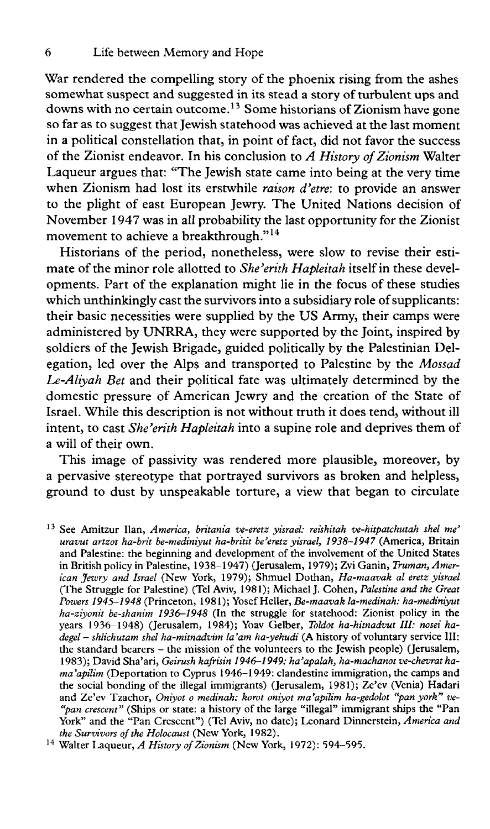**War rendered the compelling story of the phoenix rising from the ashes somewhat suspect and suggested in its stead a story of turbulent ups and downs with no certain outcome.13 Some historians of Zionism have gone so far as to suggest that Jewish statehood was achieved at the last moment in a political constellation that, in point of fact, did not favor the success of the Zionist endeavor. In his conclusion to** *A History of Zionism* **Walter Laqueur argues that: "The Jewish state came into being at the very time when Zionism had lost its erstwhile** *raison d'etre:* **to provide an answer to the plight of east European Jewry. The United Nations decision of November 1947 was in all probability the last opportunity for the Zionist movement to achieve a breakthrough."14**

**Historians of the period, nonetheless, were slow to revise their estimate of the minor role allotted to** *She'erith Hapleitah* **itself in these developments. Part of the explanation might lie in the focus of these studies which unthinkingly cast the survivors into a subsidiary role of supplicants: their basic necessities were supplied by the US Army, their camps were administered by UNRRA, they were supported by the Joint, inspired by soldiers of the Jewish Brigade, guided politically by the Palestinian Delegation, led over the Alps and transported to Palestine by the** *Mossad Le-Aliyah Bet* **and their political fate was ultimately determined by the domestic pressure of American Jewry and the creation of the State of Israel. While this description is not without truth it does tend, without ill intent, to cast** *She'erith Hapleitah* **into a supine role and deprives them of a will of their own.**

**This image of passivity was rendered more plausible, moreover, by a pervasive stereotype that portrayed survivors as broken and helpless, ground to dust by unspeakable torture, a view that began to circulate**

13 See Amitzur Ilan, *America, britania ve-eretz yisrael: reishitah ve-hitpatchutah shel me' uravut artzot ha-brit be-mediniyut ha-britit be 'eretz yisrael, 1938-1947* (America, Britain and Palestine: the beginning and development of the involvement of the United States in British policy in Palestine, 1938-1947) (Jerusalem, 1979); Zvi Ganin, *Truman, American Jewry and Israel* (New York, 1979); Shmuel D othan, *Ha-maavak al eretz yisrael* (The Struggle for Palestine) (Tel Aviv, 1981); Michael J. Cohen, *Palestine and the Great Powers 1945-1948* (Princeton, 1981); Yosef Heller, *Be-maavak la-medinah: ha-mediniyut ha-ziyonit be-shanim 1936-1948* (In the struggle for statehood: Zionist policy in the years 1936-1948) (Jerusalem, 1984); Yoav Gelber, *Toldot ha-hitnadvut III: nosei hadegel - shlichutam shel ha-mitnadvim la'am ha-yehudi* (A history of voluntary service III: the standard bearers - the mission of the volunteers to the Jewish people) (Jerusalem, 1983); David Sha'ari, *Geirush kafrisin 1946-1949: ha'apalah, ha-machanot ve-chevrat ham a'apilim* (Deportation to Cyprus 1946-1949: clandestine immigration, the camps and the social bonding of the illegal immigrants) (Jerusalem, 1981); Ze'ev (Venia) Hadari and Ze'ev Tzachor, *Oniyot o medinah: korot oniyot ma'apilim ha-gedolot "pan york" ve-"pan crescent"* (Ships or state: a history of the large "illegal" immigrant ships the "Pan York" and the "Pan Crescent") (Tel Aviv, no date); Leonard Dinnerstein, *America and the Survivors of the Holocaust* (New York, 1982).

<sup>14</sup> Walter Laqueur, *A History of Zionism* (New York, 1972): 594-595.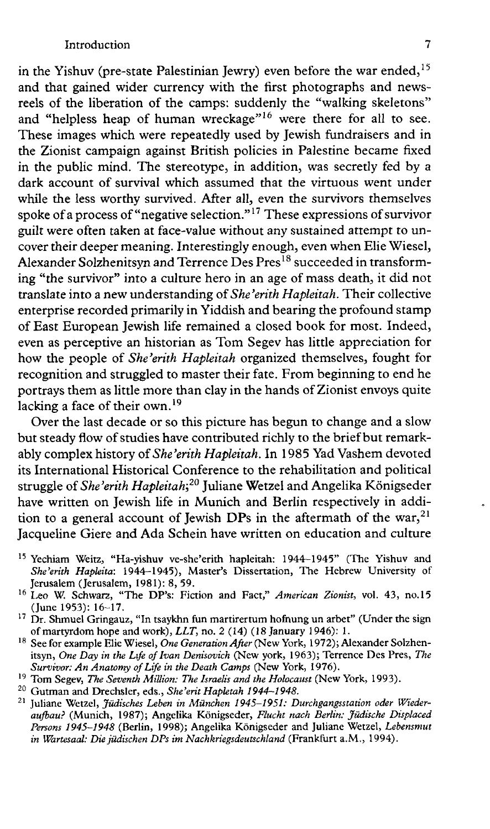**in the Yishuv (pre-state Palestinian Jewry) even before the war ended,15 and that gained wider currency with the first photographs and newsreels of the liberation of the camps: suddenly the "walking skeletons" and "helpless heap of human wreckage"16 were there for all to see. These images which were repeatedly used by Jewish fundraisers and in the Zionist campaign against British policies in Palestine became fixed in the public mind. The stereotype, in addition, was secretly fed by a dark account of survival which assumed that the virtuous went under while the less worthy survived. After all, even the survivors themselves spoke of a process of "negative selection."17 These expressions of survivor guilt were often taken at face-value without any sustained attempt to uncover their deeper meaning. Interestingly enough, even when Elie Wiesel,** Alexander Solzhenitsyn and Terrence Des Pres<sup>18</sup> succeeded in transform**ing "the survivor" into a culture hero in an age of mass death, it did not translate into a new understanding of** *She'erith Hapleitah.* **Their collective enterprise recorded primarily in Yiddish and bearing the profound stamp of East European Jewish life remained a closed book for most. Indeed, even as perceptive an historian as Tom Segev has little appreciation for how the people of** *She'erith Hapleitah* **organized themselves, fought for recognition and struggled to master their fate. From beginning to end he portrays them as little more than clay in the hands of Zionist envoys quite lacking a face of their own.19**

**Over the last decade or so this picture has begun to change and a slow but steady flow of studies have contributed richly to the brief but remarkably complex history of** *She'erith Hapleitah.* **In 1985 Yad Vashem devoted its International Historical Conference to the rehabilitation and political struggle of** *She'erith Hapleitah',20* **Juliane Wetzel and Angelika Königseder have written on Jewish life in Munich and Berlin respectively in addi**tion to a general account of Jewish DPs in the aftermath of the war,  $2<sup>1</sup>$ **Jacqueline Giere and Ada Schein have written on education and culture**

- 15 Yechiam Weitz, "Ha-yishuv ve-she'erith hapleitah: 1944-1945" (The Yishuv and She'erith Hapleita: 1944-1945), Master's Dissertation, The Hebrew University of Jerusalem (Jerusalem, 1981): 8, 59.
- <sup>16</sup> Leo W. Schwarz, "The DP's: Fiction and Fact," American Zionist, vol. 43, no.15 (June 1953): 16-17.
- <sup>17</sup> Dr. Shmuel Gringauz, "In tsaykhn fun martirertum hofnung un arbet" (Under the sign of martyrdom hope and work), *LLT,* no. 2 (14) (18 January 1946): 1.
- 18 See for example Elie Wiesel, *One Generation After (New York,* 1972); Alexander Solzhenitsyn, *One Day in the Life of Ivan Denisovich* (New york, 1963); Terrence Des Pres, *The* Survivor: An Anatomy of Life in the Death Camps (New York, 1976).
- <sup>19</sup> Tom Segev, *The Seventh Million: The Israelis and the Holocaust* (New York, 1993).
- <sup>20</sup> Gutman and Drechsler, eds., *She'erit Hapletah 1944-1948*.
- 21 Juliane Wetzel, *Jüdisches Leben in München 1945-1951: Durchgangsstation oder Wieder*aufbau? (Munich, 1987); Angelika Königseder, *Flucht nach Berlin: Jüdische Displaced Persons 1945-1948* (Berlin, 1998); Angelika Königseder and Juliane Wetzel, *Lebensmut in Wartesaal: Die jüdischen DPs im Nachkriegsdeutschland* (Frankfurt a.M ., 1994).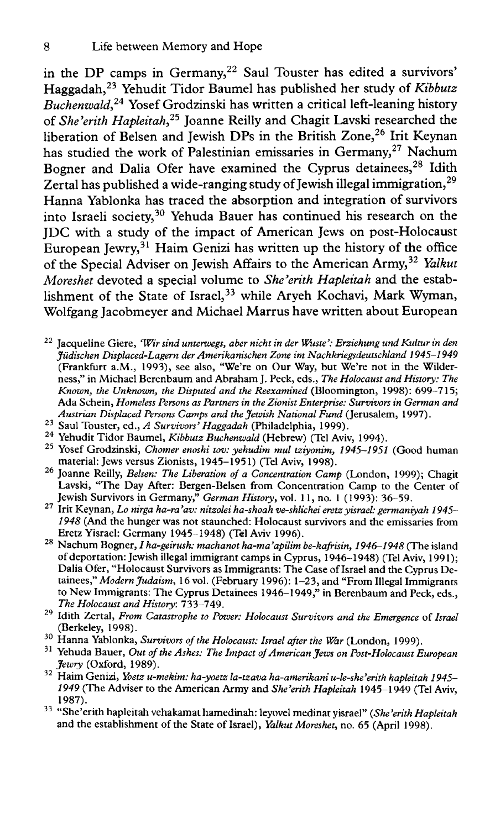in the DP camps in Germany,<sup>22</sup> Saul Touster has edited a survivors' **Haggadah,23 Yehudit Tidor Baumel has published her study of** *Kibbutz Buchenwald*,24 **Yosef Grodzinski has written a critical left-leaning history of** *She'erith Hapleitah,25* **Joanne Reilly and Chagit Lavski researched the liberation of Belsen and Jewish DPs in the British Zone,26 Irit Keynan has studied the work of Palestinian emissaries in Germany,27 Nachum Bogner and Dalia Ofer have examined the Cyprus detainees,28 Idith Zertal has published a wide-ranging study of Jewish illegal immigration,29 Hanna Yablonka has traced the absorption and integration of survivors into Israeli society,30 Yehuda Bauer has continued his research on the JDC with a study of the impact of American Jews on post-Holocaust European Jewry,31 Haim Genizi has written up the history of the office of the Special Adviser on Jewish Affairs to the American Army,32** *Yalkut Moreshet* **devoted a special volume to** *She'erith Hapleitah* **and the establishment of the State of Israel,33 while Aryeh Kochavi, Mark Wyman, Wolfgang Jacobmeyer and Michael Marrus have written about European**

- 22 Jacqueline Giere, *'Wir sind unterwegs, aber nicht in der Wüste': Erziehung und Kultur in den Jüdischen Displaced-Lagern der Amerikanischen Zone im Nachkriegsdeutschland ¡945-1949* (Frankfurt a.M., 1993), see also, "We're on Our Way, but We're not in the Wilderness," in Michael Berenbaum and Abraham J. Peck, eds., *The Holocaust and History: The Known, the Unknown, the Disputed and the Reexamined* (Bloomington, 1998): 699-715; Ada Schein, *Homeless Persons as Partners in the Zionist Enterprise: Survivors in German and Austrian Displaced Persons Camps and the Jewish National Fund* (Jerusalem, 1997).
- 23 Saul Touster, ed., *A Survivors' Haggadah* (Philadelphia, 1999).
- 24 Yehudit Tidor Baumel, *Kibbutz Buchenwald* (Hebrew) (Tel Aviv, 1994).
- 25 Yosef Grodzinski, *Chomer enoshi tov: yehudim mul tziyonim, 1945-1951* (Good human material: Jews versus Zionists, 1945-1951) (Tel Aviv, 1998).
- 26 Joanne Reilly, *Belsen: The Liberation of a Concentration Camp* (London, 1999); Chagit Lavski, "The Day After: Bergen-Belsen from Concentration Camp to the Center of Jewish Survivors in Germany," *German History,* vol. 11, no. 1 (1993): 36-59.
- 27 Irit Keynan, *Lo nirga ha-ra'av: nitzoleiha-shoah ve-shlicheieretzyisrael: germaniyah 1945- 1948* (And the hunger was not staunched: Holocaust survivors and the emissaries from Eretz Yisrael: Germany 1945-1948) (Tel Aviv 1996).
- 28 Nachum Bogner, *Iha-geirush: machanot ha-ma'apilim be-kafrisin, 1946-1948* (The island of deportation: Jewish illegal immigrant camps in Cyprus, 1946-1948) (TelAviv, 1991); Dalia Ofer, "Holocaust Survivors as Immigrants: T he Case of Israel and the Cyprus Detainees," *Modern Judaism,* 16 vol. (February 1996): 1-23, and "From Illegal Immigrants to New Immigrants: The Cyprus Detainees 1946-1949," in Berenbaum and Peck, eds., *The Holocaust and History.* 733-749.
- 29 Idith Zertal, *From Catastrophe to Power: Holocaust Survivors and the Emergence* of *Israel* (Berkeley, 1998).
- <sup>30</sup> Hanna Yablonka, *Survivors of the Holocaust: Israel after the War* (London, 1999).
- 31 Yehuda Bauer, *Out of the Ashes: The Impact of American Jews on Post-Holocaust European Jewry* (Oxford, 1989).
- 32 Haim Genizi, *Yoetz u-mekim: ha-yoetz la-tzava ha-amerikani u-le-she'erith hapleitah 1945- 1949* (The Adviser to the American Army and *She'erith Hapleitah* 1945-1949 (Tel Aviv, 1987).
- <sup>33</sup> "She'erith hapleitah vehakamat hamedinah: leyovel medinat yisrael" (*She'erith Hapleitah* and the establishment of the State of Israel), *Yalkut Moreshet,* no. 65 (April 1998).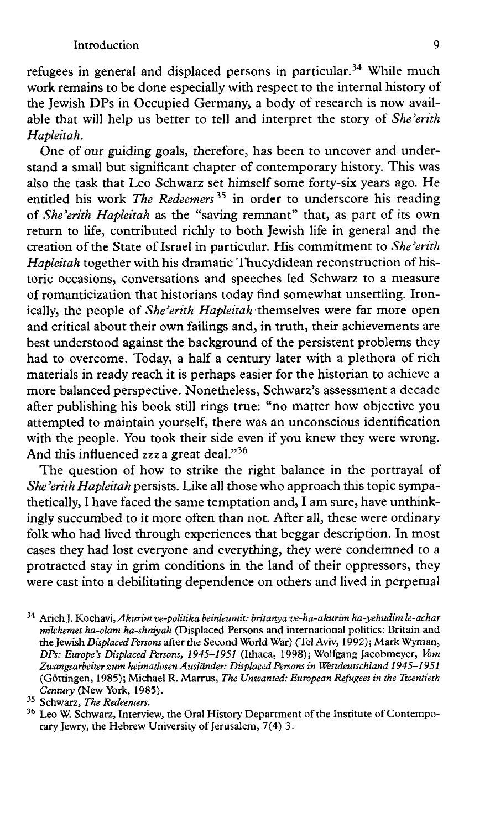**refugees in general and displaced persons in particular.34 While much work remains to be done especially with respect to the internal history of the Jewish DPs in Occupied Germany, a body of research is now available that will help us better to tell and interpret the story of** *She'erith Hapleitah.*

**One of our guiding goals, therefore, has been to uncover and understand a small but significant chapter of contemporary history. This was also the task that Leo Schwarz set himself some forty-six years ago. He entitled his work** *The Redeemers***35 in order to underscore his reading of** *She'erith Hapleitah* **as the "saving remnant" that, as part of its own return to life, contributed richly to both Jewish life in general and the creation of the State of Israel in particular. His commitment to** *She'erith Hapleitah* **together with his dramatic Thucydidean reconstruction of historic occasions, conversations and speeches led Schwarz to a measure of romanticization that historians today find somewhat unsettling. Ironically, the people of** *She'erith Hapleitah* **themselves were far more open and critical about their own failings and, in truth, their achievements are best understood against the background of the persistent problems they had to overcome. Today, a half a century later with a plethora of rich materials in ready reach it is perhaps easier for the historian to achieve a more balanced perspective. Nonetheless, Schwarz's assessment a decade after publishing his book still rings true: "no matter how objective you attempted to maintain yourself, there was an unconscious identification with the people. You took their side even if you knew they were wrong. And this influenced** zzz **a great deal."36**

**The question of how to strike the right balance in the portrayal of** *She'erith Hapleitah* **persists. Like all those who approach this topic sympathetically, I have faced the same temptation and, I am sure, have unthinkingly succumbed to it more often than not. After all, these were ordinary folk who had lived through experiences that beggar description. In most cases they had lost everyone and everything, they were condemned to a protracted stay in grim conditions in the land of their oppressors, they were cast into a debilitating dependence on others and lived in perpetual**

<sup>34</sup> Arieh J. Kochavi, *Akurim ve-poliiika beinleumit: britanya ve-ha-akurim ha-yehudim le-achar milchemet ha-olam ha-shniyah* (Displaced Persons and international politics: Britain and the Jewish *Displaced Persons* after the Second World War) (Tel Aviv, 1992); Mark Wyman, *DPs: Europe's Displaced Persons, 1945-1951* (Ithaca, 1998); Wolfgang Jacobmeyer, *Vom Zwangsarbeiter zum heimatlosen Ausländer: Displaced Persons in Westdeutschland 1945-1951* (Göttingen, 1985); Michael R. M arrus, *The Unwanted: European Refugees in the Twentieth Century* (New York, 1985).

<sup>35</sup> Schwarz, *The Redeemers.*

<sup>&</sup>lt;sup>36</sup> Leo W. Schwarz, Interview, the Oral History Department of the Institute of Contemporary Jewry, the Hebrew University of Jerusalem, 7(4) 3.